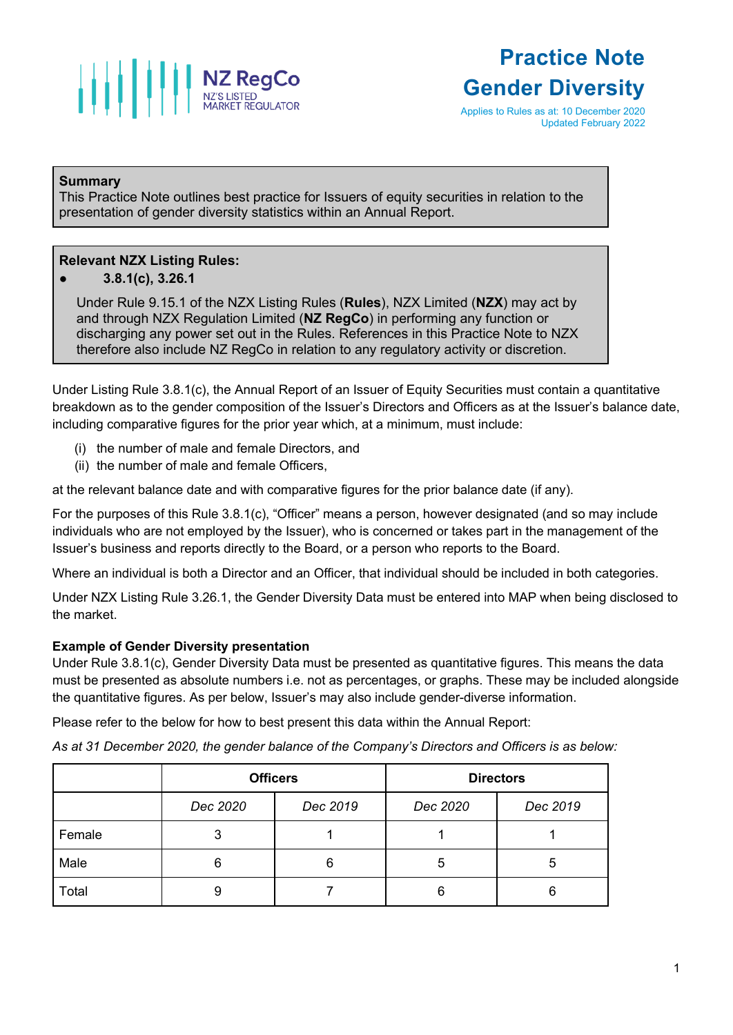

# **Practice Note Gender Diversity**

Applies to Rules as at: 10 December 2020 Updated February 2022

### **Summary**

This Practice Note outlines best practice for Issuers of equity securities in relation to the presentation of gender diversity statistics within an Annual Report.

#### **Relevant NZX Listing Rules:**

● **3.8.1(c), 3.26.1**

Under Rule 9.15.1 of the NZX Listing Rules (**Rules**), NZX Limited (**NZX**) may act by and through NZX Regulation Limited (**NZ RegCo**) in performing any function or discharging any power set out in the Rules. References in this Practice Note to NZX therefore also include NZ RegCo in relation to any regulatory activity or discretion.

Under Listing Rule 3.8.1(c), the Annual Report of an Issuer of Equity Securities must contain a quantitative breakdown as to the gender composition of the Issuer's Directors and Officers as at the Issuer's balance date, including comparative figures for the prior year which, at a minimum, must include:

- (i) the number of male and female Directors, and
- (ii) the number of male and female Officers,

at the relevant balance date and with comparative figures for the prior balance date (if any).

For the purposes of this Rule 3.8.1(c), "Officer" means a person, however designated (and so may include individuals who are not employed by the Issuer), who is concerned or takes part in the management of the Issuer's business and reports directly to the Board, or a person who reports to the Board.

Where an individual is both a Director and an Officer, that individual should be included in both categories.

Under NZX Listing Rule 3.26.1, the Gender Diversity Data must be entered into MAP when being disclosed to the market.

## **Example of Gender Diversity presentation**

Under Rule 3.8.1(c), Gender Diversity Data must be presented as quantitative figures. This means the data must be presented as absolute numbers i.e. not as percentages, or graphs. These may be included alongside the quantitative figures. As per below, Issuer's may also include gender-diverse information.

Please refer to the below for how to best present this data within the Annual Report:

*As at 31 December 2020, the gender balance of the Company's Directors and Officers is as below:*

|        | <b>Officers</b> |          | <b>Directors</b> |          |
|--------|-----------------|----------|------------------|----------|
|        | Dec 2020        | Dec 2019 | Dec 2020         | Dec 2019 |
| Female | 3               |          |                  |          |
| Male   | 6               | 6        | 5                | G        |
| Total  | 9               |          | 6                |          |